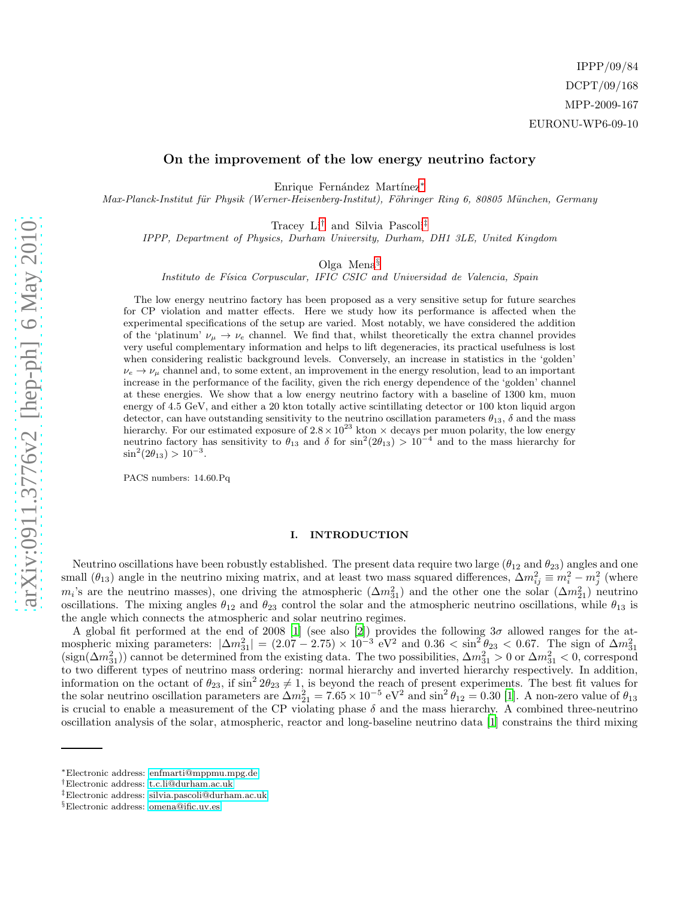# On the improvement of the low energy neutrino factory

Enrique Fernández Martínez<sup>\*</sup>

*Max-Planck-Institut f¨ur Physik (Werner-Heisenberg-Institut), F¨ohringer Ring 6, 80805 M¨unchen, Germany*

Tracey Li[†](#page-0-1) and Silvia Pascoli[‡](#page-0-2)

*IPPP, Department of Physics, Durham University, Durham, DH1 3LE, United Kingdom*

Olga Mena[§](#page-0-3)

*Instituto de F´ısica Corpuscular, IFIC CSIC and Universidad de Valencia, Spain*

The low energy neutrino factory has been proposed as a very sensitive setup for future searches for CP violation and matter effects. Here we study how its performance is affected when the experimental specifications of the setup are varied. Most notably, we have considered the addition of the 'platinum'  $\nu_{\mu} \rightarrow \nu_{e}$  channel. We find that, whilst theoretically the extra channel provides very useful complementary information and helps to lift degeneracies, its practical usefulness is lost when considering realistic background levels. Conversely, an increase in statistics in the 'golden'  $\nu_e \rightarrow \nu_\mu$  channel and, to some extent, an improvement in the energy resolution, lead to an important increase in the performance of the facility, given the rich energy dependence of the 'golden' channel at these energies. We show that a low energy neutrino factory with a baseline of 1300 km, muon energy of 4.5 GeV, and either a 20 kton totally active scintillating detector or 100 kton liquid argon detector, can have outstanding sensitivity to the neutrino oscillation parameters  $\theta_{13}$ ,  $\delta$  and the mass hierarchy. For our estimated exposure of  $2.8 \times 10^{23}$  kton  $\times$  decays per muon polarity, the low energy neutrino factory has sensitivity to  $\theta_{13}$  and  $\delta$  for  $\sin^2(2\theta_{13}) > 10^{-4}$  and to the mass hierarchy for  $\sin^2(2\theta_{13}) > 10^{-3}$ .

PACS numbers: 14.60.Pq

### I. INTRODUCTION

Neutrino oscillations have been robustly established. The present data require two large  $(\theta_{12}$  and  $\theta_{23})$  angles and one small  $(\theta_{13})$  angle in the neutrino mixing matrix, and at least two mass squared differences,  $\Delta m_{ij}^2 \equiv m_i^2 - m_j^2$  (where  $m_i$ 's are the neutrino masses), one driving the atmospheric  $(\Delta m_{31}^2)$  and the other one the solar  $(\Delta m_{21}^2)$  neutrino oscillations. The mixing angles  $\theta_{12}$  and  $\theta_{23}$  control the solar and the atmospheric neutrino oscillations, while  $\theta_{13}$  is the angle which connects the atmospheric and solar neutrino regimes.

A global fit performed at the end of 2008 [\[1](#page-11-0)] (see also [\[2\]](#page-11-1)) provides the following  $3\sigma$  allowed ranges for the atmospheric mixing parameters:  $|\Delta m_{31}^2| = (2.07 - 2.75) \times 10^{-3} \text{ eV}^2$  and  $0.36 < \sin^2 \theta_{23} < 0.67$ . The sign of  $\Delta m_{31}^2$  (sign( $\Delta m_{31}^2$ )) cannot be determined from the existing data. The two possibilities,  $\Delta m_{31}^$ to two different types of neutrino mass ordering: normal hierarchy and inverted hierarchy respectively. In addition, information on the octant of  $\theta_{23}$ , if  $\sin^2 2\theta_{23} \neq 1$ , is beyond the reach of present experiments. The best fit values for the solar neutrino oscillation parameters are  $\Delta m_{21}^2 = 7.65 \times 10^{-5} \text{ eV}^2$  and  $\sin^2 \theta_{12} = 0.30$  [\[1\]](#page-11-0). A non-zero value of  $\theta_{13}$ is crucial to enable a measurement of the CP violating phase  $\delta$  and the mass hierarchy. A combined three-neutrino oscillation analysis of the solar, atmospheric, reactor and long-baseline neutrino data [\[1\]](#page-11-0) constrains the third mixing

<span id="page-0-0"></span><sup>∗</sup>Electronic address: [enfmarti@mppmu.mpg.de](mailto:enfmarti@mppmu.mpg.de)

<span id="page-0-1"></span><sup>†</sup>Electronic address: [t.c.li@durham.ac.uk](mailto:t.c.li@durham.ac.uk)

<span id="page-0-2"></span><sup>‡</sup>Electronic address: [silvia.pascoli@durham.ac.uk](mailto:silvia.pascoli@durham.ac.uk)

<span id="page-0-3"></span><sup>§</sup>Electronic address: [omena@ific.uv.es](mailto:omena@ific.uv.es)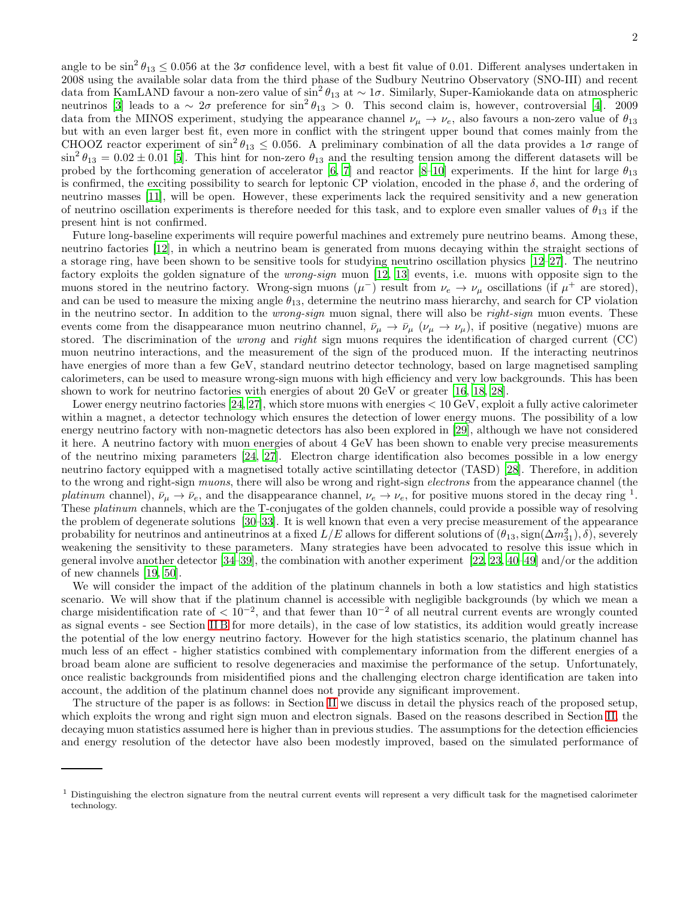angle to be  $\sin^2 \theta_{13} \leq 0.056$  at the  $3\sigma$  confidence level, with a best fit value of 0.01. Different analyses undertaken in 2008 using the available solar data from the third phase of the Sudbury Neutrino Observatory (SNO-III) and recent data from KamLAND favour a non-zero value of  $\sin^2 \theta_{13}$  at  $\sim 1\sigma$ . Similarly, Super-Kamiokande data on atmospheric neutrinos [\[3\]](#page-11-2) leads to a  $\sim 2\sigma$  preference for sin<sup>2</sup>  $\theta_{13} > 0$ . This second claim is, however, controversial [\[4\]](#page-11-3). 2009 data from the MINOS experiment, studying the appearance channel  $\nu_\mu \to \nu_e$ , also favours a non-zero value of  $\theta_{13}$ but with an even larger best fit, even more in conflict with the stringent upper bound that comes mainly from the CHOOZ reactor experiment of  $\sin^2 \theta_{13} \leq 0.056$ . A preliminary combination of all the data provides a  $1\sigma$  range of  $\sin^2 \theta_{13} = 0.02 \pm 0.01$  [\[5](#page-11-4)]. This hint for non-zero  $\theta_{13}$  and the resulting tension among the different datasets will be probed by the forthcoming generation of accelerator [\[6](#page-11-5), [7\]](#page-11-6) and reactor [\[8](#page-11-7)[–10](#page-11-8)] experiments. If the hint for large  $\theta_{13}$ is confirmed, the exciting possibility to search for leptonic CP violation, encoded in the phase  $\delta$ , and the ordering of neutrino masses [\[11\]](#page-11-9), will be open. However, these experiments lack the required sensitivity and a new generation of neutrino oscillation experiments is therefore needed for this task, and to explore even smaller values of  $\theta_{13}$  if the present hint is not confirmed.

Future long-baseline experiments will require powerful machines and extremely pure neutrino beams. Among these, neutrino factories [\[12\]](#page-11-10), in which a neutrino beam is generated from muons decaying within the straight sections of a storage ring, have been shown to be sensitive tools for studying neutrino oscillation physics [\[12](#page-11-10)[–27\]](#page-11-11). The neutrino factory exploits the golden signature of the wrong-sign muon [\[12,](#page-11-10) [13\]](#page-11-12) events, i.e. muons with opposite sign to the muons stored in the neutrino factory. Wrong-sign muons  $(\mu^-)$  result from  $\nu_e \to \nu_\mu$  oscillations (if  $\mu^+$  are stored), and can be used to measure the mixing angle  $\theta_{13}$ , determine the neutrino mass hierarchy, and search for CP violation in the neutrino sector. In addition to the *wrong-sign* muon signal, there will also be *right-sign* muon events. These events come from the disappearance muon neutrino channel,  $\bar{\nu}_{\mu} \to \bar{\nu}_{\mu}$  ( $\nu_{\mu} \to \nu_{\mu}$ ), if positive (negative) muons are stored. The discrimination of the *wrong* and *right* sign muons requires the identification of charged current (CC) muon neutrino interactions, and the measurement of the sign of the produced muon. If the interacting neutrinos have energies of more than a few GeV, standard neutrino detector technology, based on large magnetised sampling calorimeters, can be used to measure wrong-sign muons with high efficiency and very low backgrounds. This has been shown to work for neutrino factories with energies of about 20 GeV or greater [\[16,](#page-11-13) [18,](#page-11-14) [28](#page-11-15)].

Lower energy neutrino factories [\[24,](#page-11-16) [27\]](#page-11-11), which store muons with energies  $< 10 \text{ GeV}$ , exploit a fully active calorimeter within a magnet, a detector technology which ensures the detection of lower energy muons. The possibility of a low energy neutrino factory with non-magnetic detectors has also been explored in [\[29\]](#page-11-17), although we have not considered it here. A neutrino factory with muon energies of about 4 GeV has been shown to enable very precise measurements of the neutrino mixing parameters [\[24,](#page-11-16) [27\]](#page-11-11). Electron charge identification also becomes possible in a low energy neutrino factory equipped with a magnetised totally active scintillating detector (TASD) [\[28\]](#page-11-15). Therefore, in addition to the wrong and right-sign *muons*, there will also be wrong and right-sign *electrons* from the appearance channel (the platinum channel),  $\bar{\nu}_{\mu} \to \bar{\nu}_{e}$ , and the disappearance channel,  $\nu_{e} \to \nu_{e}$ , for positive muons stored in the decay ring <sup>1</sup>. These platinum channels, which are the T-conjugates of the golden channels, could provide a possible way of resolving the problem of degenerate solutions [\[30](#page-11-18)[–33\]](#page-11-19). It is well known that even a very precise measurement of the appearance probability for neutrinos and antineutrinos at a fixed  $L/E$  allows for different solutions of  $(\theta_{13}, sign(\Delta m_{31}^2), \delta)$ , severely weakening the sensitivity to these parameters. Many strategies have been advocated to resolve this issue which in general involve another detector [\[34](#page-11-20)[–39\]](#page-11-21), the combination with another experiment [\[22](#page-11-22), [23,](#page-11-23) [40](#page-11-24)[–49\]](#page-11-25) and/or the addition of new channels [\[19,](#page-11-26) [50\]](#page-11-27).

We will consider the impact of the addition of the platinum channels in both a low statistics and high statistics scenario. We will show that if the platinum channel is accessible with negligible backgrounds (by which we mean a charge misidentification rate of  $< 10^{-2}$ , and that fewer than  $10^{-2}$  of all neutral current events are wrongly counted as signal events - see Section [II B](#page-4-0) for more details), in the case of low statistics, its addition would greatly increase the potential of the low energy neutrino factory. However for the high statistics scenario, the platinum channel has much less of an effect - higher statistics combined with complementary information from the different energies of a broad beam alone are sufficient to resolve degeneracies and maximise the performance of the setup. Unfortunately, once realistic backgrounds from misidentified pions and the challenging electron charge identification are taken into account, the addition of the platinum channel does not provide any significant improvement.

The structure of the paper is as follows: in Section [II](#page-2-0) we discuss in detail the physics reach of the proposed setup, which exploits the wrong and right sign muon and electron signals. Based on the reasons described in Section [II,](#page-2-0) the decaying muon statistics assumed here is higher than in previous studies. The assumptions for the detection efficiencies and energy resolution of the detector have also been modestly improved, based on the simulated performance of

<sup>&</sup>lt;sup>1</sup> Distinguishing the electron signature from the neutral current events will represent a very difficult task for the magnetised calorimeter technology.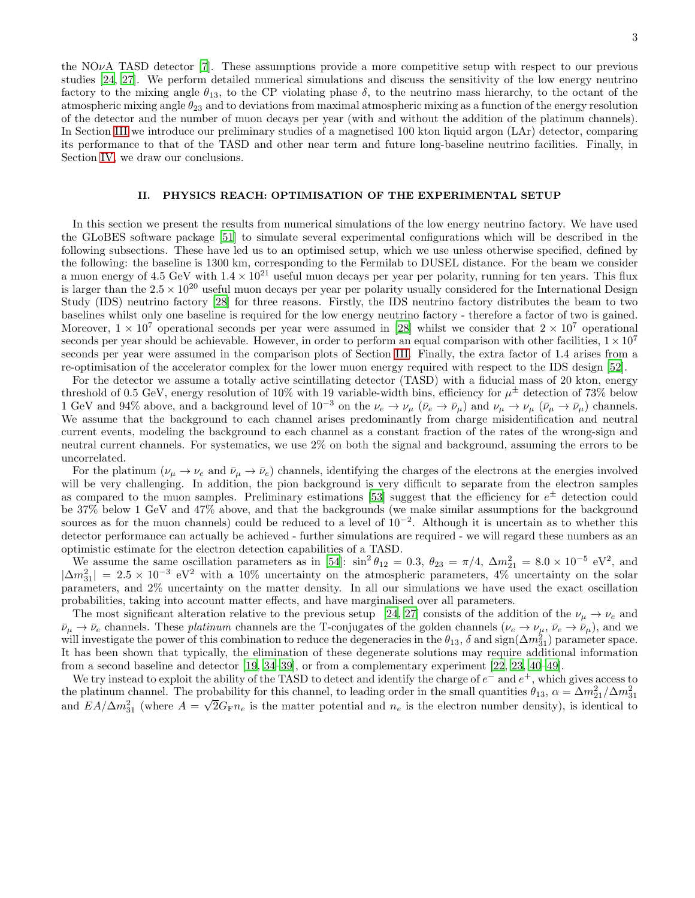the NO $\nu$ A TASD detector [\[7\]](#page-11-6). These assumptions provide a more competitive setup with respect to our previous studies [\[24,](#page-11-16) [27\]](#page-11-11). We perform detailed numerical simulations and discuss the sensitivity of the low energy neutrino factory to the mixing angle  $\theta_{13}$ , to the CP violating phase  $\delta$ , to the neutrino mass hierarchy, to the octant of the atmospheric mixing angle  $\theta_{23}$  and to deviations from maximal atmospheric mixing as a function of the energy resolution of the detector and the number of muon decays per year (with and without the addition of the platinum channels). In Section [III](#page-8-0) we introduce our preliminary studies of a magnetised 100 kton liquid argon (LAr) detector, comparing its performance to that of the TASD and other near term and future long-baseline neutrino facilities. Finally, in Section [IV,](#page-9-0) we draw our conclusions.

## <span id="page-2-0"></span>II. PHYSICS REACH: OPTIMISATION OF THE EXPERIMENTAL SETUP

In this section we present the results from numerical simulations of the low energy neutrino factory. We have used the GLoBES software package [\[51\]](#page-11-28) to simulate several experimental configurations which will be described in the following subsections. These have led us to an optimised setup, which we use unless otherwise specified, defined by the following: the baseline is 1300 km, corresponding to the Fermilab to DUSEL distance. For the beam we consider a muon energy of 4.5 GeV with  $1.4 \times 10^{21}$  useful muon decays per year per polarity, running for ten years. This flux is larger than the  $2.5 \times 10^{20}$  useful muon decays per year per polarity usually considered for the International Design Study (IDS) neutrino factory [\[28\]](#page-11-15) for three reasons. Firstly, the IDS neutrino factory distributes the beam to two baselines whilst only one baseline is required for the low energy neutrino factory - therefore a factor of two is gained. Moreover,  $1 \times 10^7$  operational seconds per year were assumed in [\[28\]](#page-11-15) whilst we consider that  $2 \times 10^7$  operational seconds per year should be achievable. However, in order to perform an equal comparison with other facilities,  $1 \times 10^7$ seconds per year were assumed in the comparison plots of Section [III.](#page-8-0) Finally, the extra factor of 1.4 arises from a re-optimisation of the accelerator complex for the lower muon energy required with respect to the IDS design [\[52\]](#page-12-0).

For the detector we assume a totally active scintillating detector (TASD) with a fiducial mass of 20 kton, energy threshold of 0.5 GeV, energy resolution of 10% with 19 variable-width bins, efficiency for  $\mu^{\pm}$  detection of 73% below 1 GeV and 94% above, and a background level of  $10^{-3}$  on the  $\nu_e \to \nu_\mu$  ( $\bar{\nu}_e \to \bar{\nu}_\mu$ ) and  $\nu_\mu \to \nu_\mu$  ( $\bar{\nu}_\mu \to \bar{\nu}_\mu$ ) channels. We assume that the background to each channel arises predominantly from charge misidentification and neutral current events, modeling the background to each channel as a constant fraction of the rates of the wrong-sign and neutral current channels. For systematics, we use 2% on both the signal and background, assuming the errors to be uncorrelated.

For the platinum  $(\nu_{\mu} \to \nu_{e}$  and  $\bar{\nu}_{\mu} \to \bar{\nu}_{e})$  channels, identifying the charges of the electrons at the energies involved will be very challenging. In addition, the pion background is very difficult to separate from the electron samples as compared to the muon samples. Preliminary estimations [\[53](#page-12-1)] suggest that the efficiency for  $e^{\pm}$  detection could be 37% below 1 GeV and 47% above, and that the backgrounds (we make similar assumptions for the background sources as for the muon channels) could be reduced to a level of  $10^{-2}$ . Although it is uncertain as to whether this detector performance can actually be achieved - further simulations are required - we will regard these numbers as an optimistic estimate for the electron detection capabilities of a TASD.

We assume the same oscillation parameters as in [\[54\]](#page-12-2):  $\sin^2 \theta_{12} = 0.3$ ,  $\theta_{23} = \pi/4$ ,  $\Delta m_{21}^2 = 8.0 \times 10^{-5}$  eV<sup>2</sup>, and  $|\Delta m_{31}^2| = 2.5 \times 10^{-3}$  eV<sup>2</sup> with a 10% uncertainty on the atmospheric parameters, 4% uncertainty on the solar parameters, and 2% uncertainty on the matter density. In all our simulations we have used the exact oscillation probabilities, taking into account matter effects, and have marginalised over all parameters.

The most significant alteration relative to the previous setup [\[24,](#page-11-16) [27\]](#page-11-11) consists of the addition of the  $\nu_{\mu} \to \nu_{e}$  and  $\bar{\nu}_{\mu} \rightarrow \bar{\nu}_{e}$  channels. These platinum channels are the T-conjugates of the golden channels  $(\nu_{e} \rightarrow \nu_{\mu}, \bar{\nu}_{e} \rightarrow \bar{\nu}_{\mu})$ , and we will investigate the power of this combination to reduce the degeneracies in the  $\theta_{13}$ ,  $\delta$  and sign( $\Delta m_{31}^2$ ) parameter space. It has been shown that typically, the elimination of these degenerate solutions may require additional information from a second baseline and detector [\[19,](#page-11-26) [34](#page-11-20)[–39\]](#page-11-21), or from a complementary experiment [\[22,](#page-11-22) [23,](#page-11-23) [40](#page-11-24)[–49\]](#page-11-25).

We try instead to exploit the ability of the TASD to detect and identify the charge of  $e^-$  and  $e^+$ , which gives access to the platinum channel. The probability for this channel, to leading order in the small quantities  $\theta_{13}$ ,  $\alpha = \Delta m_{21}^2/\Delta m_{31}^2$ and  $EA/\Delta m_{31}^2$  (where  $A = \sqrt{2}G_{\rm F}n_e$  is the matter potential and  $n_e$  is the electron number density), is identical to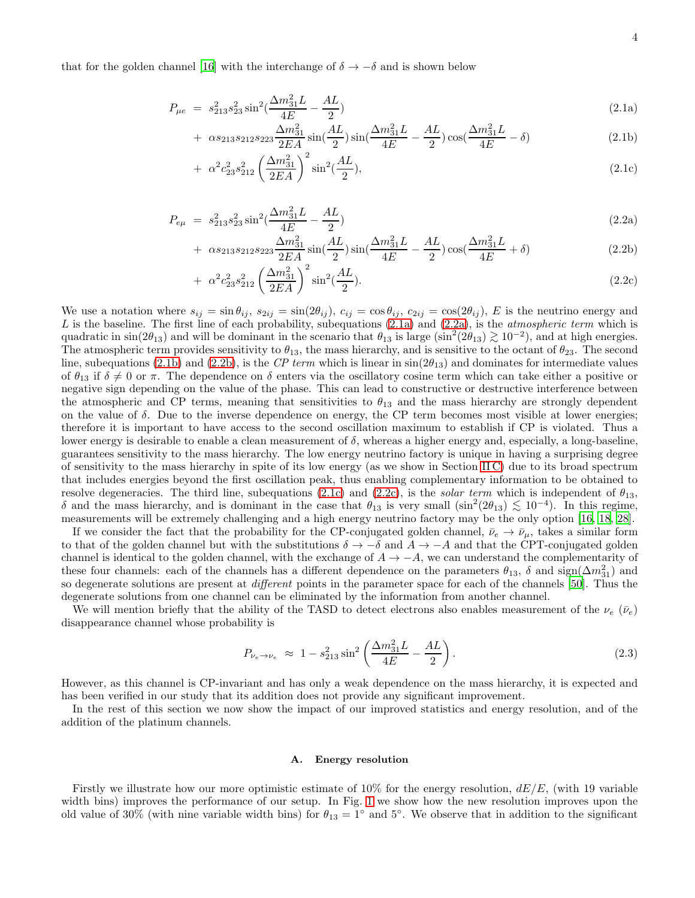that for the golden channel [\[16\]](#page-11-13) with the interchange of  $\delta \to -\delta$  and is shown below

<span id="page-3-0"></span>
$$
P_{\mu e} = s_{213}^2 s_{23}^2 \sin^2(\frac{\Delta m_{31}^2 L}{4E} - \frac{AL}{2})
$$
\n(2.1a)

+ 
$$
\alpha s_{213} s_{212} s_{223} \frac{\Delta m_{31}^2}{2EA} \sin(\frac{AL}{2}) \sin(\frac{\Delta m_{31}^2 L}{4E} - \frac{AL}{2}) \cos(\frac{\Delta m_{31}^2 L}{4E} - \delta)
$$
 (2.1b)

$$
+ \alpha^2 c_{23}^2 s_{212}^2 \left(\frac{\Delta m_{31}^2}{2EA}\right)^2 \sin^2(\frac{AL}{2}), \tag{2.1c}
$$

<span id="page-3-1"></span>
$$
P_{e\mu} = s_{213}^2 s_{23}^2 \sin^2(\frac{\Delta m_{31}^2 L}{4E} - \frac{AL}{2})
$$
\n(2.2a)

+ 
$$
\alpha s_{213} s_{212} s_{223} \frac{\Delta m_{31}^2}{2EA} \sin(\frac{AL}{2}) \sin(\frac{\Delta m_{31}^2 L}{4E} - \frac{AL}{2}) \cos(\frac{\Delta m_{31}^2 L}{4E} + \delta)
$$
 (2.2b)

+ 
$$
\alpha^2 c_{23}^2 s_{212}^2 \left(\frac{\Delta m_{31}^2}{2EA}\right)^2 \sin^2(\frac{AL}{2}).
$$
 (2.2c)

We use a notation where  $s_{ij} = \sin \theta_{ij}$ ,  $s_{2ij} = \sin(2\theta_{ij})$ ,  $c_{ij} = \cos \theta_{ij}$ ,  $c_{2ij} = \cos(2\theta_{ij})$ , E is the neutrino energy and  $L$  is the baseline. The first line of each probability, subequations  $(2.1a)$  and  $(2.2a)$ , is the *atmospheric term* which is quadratic in  $\sin(2\theta_{13})$  and will be dominant in the scenario that  $\theta_{13}$  is large  $(\sin^2(2\theta_{13}) \gtrsim 10^{-2})$ , and at high energies.<br>The structure term provides sometimity to  $\theta$  the mass biggereby and is sometime to th The atmospheric term provides sensitivity to  $\theta_{13}$ , the mass hierarchy, and is sensitive to the octant of  $\theta_{23}$ . The second line, subequations [\(2.1b\)](#page-3-0) and [\(2.2b\)](#page-3-1), is the CP term which is linear in  $sin(2\theta_{13})$  and dominates for intermediate values of  $\theta_{13}$  if  $\delta \neq 0$  or  $\pi$ . The dependence on  $\delta$  enters via the oscillatory cosine term which can take either a positive or negative sign depending on the value of the phase. This can lead to constructive or destructive interference between the atmospheric and CP terms, meaning that sensitivities to  $\theta_{13}$  and the mass hierarchy are strongly dependent on the value of  $\delta$ . Due to the inverse dependence on energy, the CP term becomes most visible at lower energies; therefore it is important to have access to the second oscillation maximum to establish if CP is violated. Thus a lower energy is desirable to enable a clean measurement of  $\delta$ , whereas a higher energy and, especially, a long-baseline, guarantees sensitivity to the mass hierarchy. The low energy neutrino factory is unique in having a surprising degree of sensitivity to the mass hierarchy in spite of its low energy (as we show in Section [II C\)](#page-4-1) due to its broad spectrum that includes energies beyond the first oscillation peak, thus enabling complementary information to be obtained to resolve degeneracies. The third line, subequations [\(2.1c\)](#page-3-0) and [\(2.2c\)](#page-3-1), is the *solar term* which is independent of  $\theta_{13}$ , δ and the mass hierarchy, and is dominant in the case that  $θ_{13}$  is very small  $(\sin^2(2θ_{13}) ≤ 10^{-4})$ . In this regime, measurements will be extremely challenging and a high energy neutrino factory may be the only option [\[16,](#page-11-13) [18,](#page-11-14) [28](#page-11-15)].

If we consider the fact that the probability for the CP-conjugated golden channel,  $\bar{\nu}_e \to \bar{\nu}_\mu$ , takes a similar form to that of the golden channel but with the substitutions  $\delta \to -\delta$  and  $A \to -A$  and that the CPT-conjugated golden channel is identical to the golden channel, with the exchange of  $A \rightarrow -A$ , we can understand the complementarity of these four channels: each of the channels has a different dependence on the parameters  $\theta_{13}$ ,  $\delta$  and sign( $\Delta m_{31}^2$ ) and so degenerate solutions are present at *different* points in the parameter space for each of the channels [\[50](#page-11-27)]. Thus the degenerate solutions from one channel can be eliminated by the information from another channel.

We will mention briefly that the ability of the TASD to detect electrons also enables measurement of the  $\nu_e$  ( $\bar{\nu}_e$ ) disappearance channel whose probability is

$$
P_{\nu_e \to \nu_e} \approx 1 - s_{213}^2 \sin^2 \left( \frac{\Delta m_{31}^2 L}{4E} - \frac{AL}{2} \right). \tag{2.3}
$$

However, as this channel is CP-invariant and has only a weak dependence on the mass hierarchy, it is expected and has been verified in our study that its addition does not provide any significant improvement.

In the rest of this section we now show the impact of our improved statistics and energy resolution, and of the addition of the platinum channels.

### A. Energy resolution

Firstly we illustrate how our more optimistic estimate of 10% for the energy resolution,  $dE/E$ , (with 19 variable width bins) improves the performance of our setup. In Fig. [1](#page-4-2) we show how the new resolution improves upon the old value of 30% (with nine variable width bins) for  $\theta_{13} = 1^\circ$  and 5°. We observe that in addition to the significant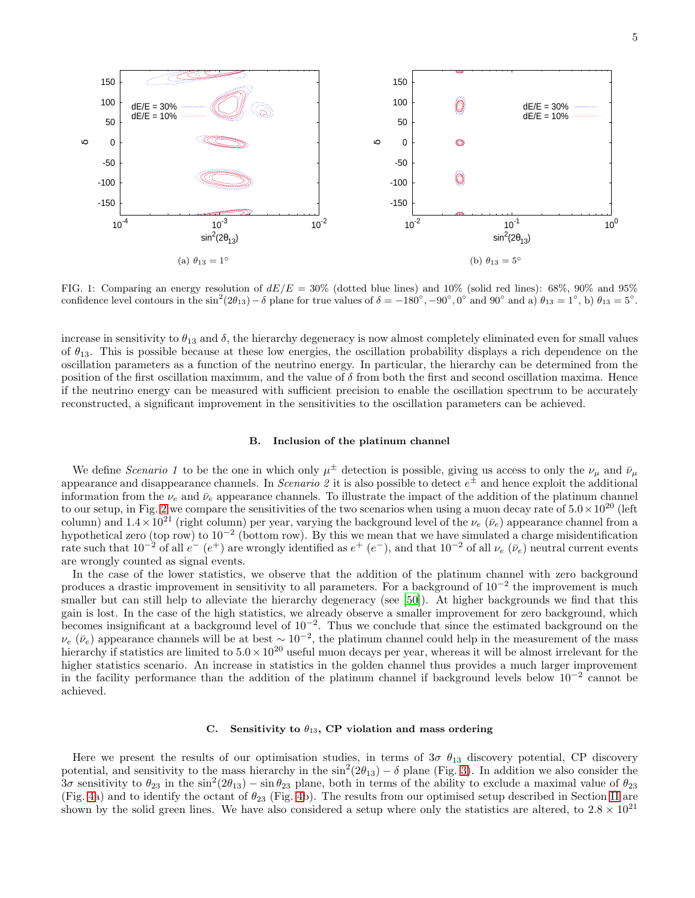

<span id="page-4-2"></span>FIG. 1: Comparing an energy resolution of  $dE/E = 30\%$  (dotted blue lines) and 10% (solid red lines): 68%, 90% and 95% confidence level contours in the  $\sin^2(2\theta_{13})-\delta$  plane for true values of  $\delta = -180^\circ, -90^\circ, 0^\circ$  and  $90^\circ$  and  $\alpha$   $\theta_{13} = 1^\circ$ , b)  $\theta_{13} = 5^\circ$ .

increase in sensitivity to  $\theta_{13}$  and  $\delta$ , the hierarchy degeneracy is now almost completely eliminated even for small values of  $\theta_{13}$ . This is possible because at these low energies, the oscillation probability displays a rich dependence on the oscillation parameters as a function of the neutrino energy. In particular, the hierarchy can be determined from the position of the first oscillation maximum, and the value of  $\delta$  from both the first and second oscillation maxima. Hence if the neutrino energy can be measured with sufficient precision to enable the oscillation spectrum to be accurately reconstructed, a significant improvement in the sensitivities to the oscillation parameters can be achieved.

## <span id="page-4-0"></span>B. Inclusion of the platinum channel

We define Scenario 1 to be the one in which only  $\mu^{\pm}$  detection is possible, giving us access to only the  $\nu_{\mu}$  and  $\bar{\nu}_{\mu}$ appearance and disappearance channels. In *Scenario 2* it is also possible to detect  $e^{\pm}$  and hence exploit the additional information from the  $\nu_e$  and  $\bar{\nu}_e$  appearance channels. To illustrate the impact of the addition of the platinum channel to our setup, in Fig. [2](#page-5-0) we compare the sensitivities of the two scenarios when using a muon decay rate of  $5.0 \times 10^{20}$  (left column) and  $1.4 \times 10^{21}$  (right column) per year, varying the background level of the  $\nu_e$  ( $\bar{\nu}_e$ ) appearance channel from a hypothetical zero (top row) to 10<sup>-2</sup> (bottom row). By this we mean that we have simulated a charge misidentification rate such that  $10^{-2}$  of all  $e^ (e^+)$  are wrongly identified as  $e^+$   $(e^-)$ , and that  $10^{-2}$  of all  $\nu_e$   $(\bar{\nu}_e)$  neutral current events are wrongly counted as signal events.

In the case of the lower statistics, we observe that the addition of the platinum channel with zero background produces a drastic improvement in sensitivity to all parameters. For a background of 10<sup>-2</sup> the improvement is much smaller but can still help to alleviate the hierarchy degeneracy (see [\[50\]](#page-11-27)). At higher backgrounds we find that this gain is lost. In the case of the high statistics, we already observe a smaller improvement for zero background, which becomes insignificant at a background level of 10<sup>−</sup><sup>2</sup> . Thus we conclude that since the estimated background on the  $\nu_e$  ( $\bar{\nu}_e$ ) appearance channels will be at best ~ 10<sup>-2</sup>, the platinum channel could help in the measurement of the mass hierarchy if statistics are limited to  $5.0 \times 10^{20}$  useful muon decays per year, whereas it will be almost irrelevant for the higher statistics scenario. An increase in statistics in the golden channel thus provides a much larger improvement in the facility performance than the addition of the platinum channel if background levels below 10<sup>−</sup><sup>2</sup> cannot be achieved.

# <span id="page-4-1"></span>C. Sensitivity to  $\theta_{13}$ , CP violation and mass ordering

Here we present the results of our optimisation studies, in terms of  $3\sigma$   $\theta_{13}$  discovery potential, CP discovery potential, and sensitivity to the mass hierarchy in the  $\sin^2(2\theta_{13}) - \delta$  plane (Fig. [3\)](#page-6-0). In addition we also consider the  $3\sigma$  sensitivity to  $\theta_{23}$  in the sin<sup>2</sup>(2 $\theta_{13}$ ) – sin $\theta_{23}$  plane, both in terms of the ability to exclude a maximal value of  $\theta_{23}$ (Fig. [4a](#page-7-0)) and to identify the octant of  $\theta_{23}$  (Fig. [4b](#page-7-0)). The results from our optimised setup described in Section [II](#page-2-0) are shown by the solid green lines. We have also considered a setup where only the statistics are altered, to  $2.8 \times 10^{21}$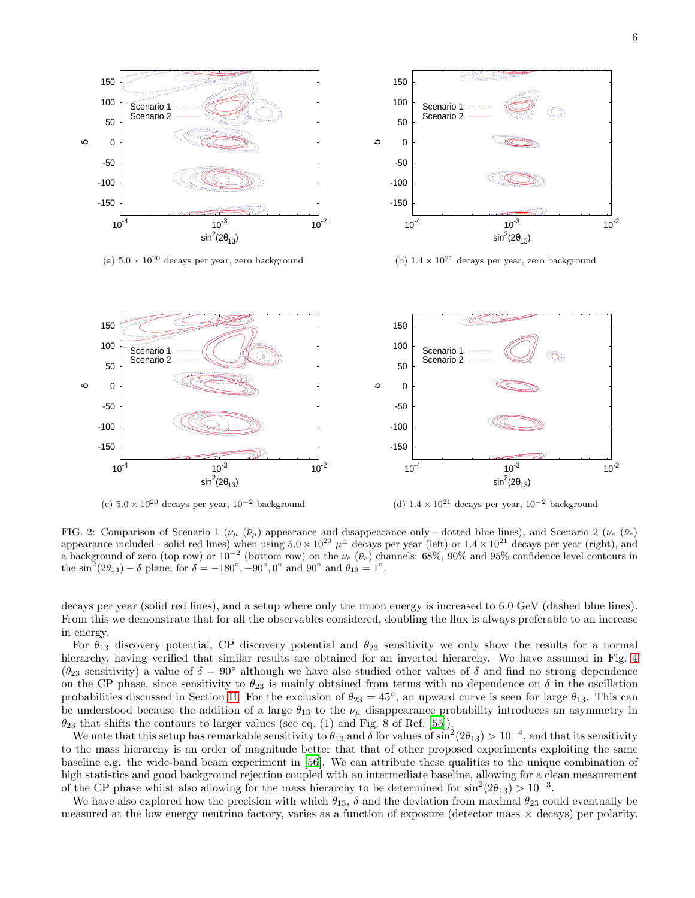

<span id="page-5-0"></span>(c)  $5.0 \times 10^{20}$  decays per year,  $10^{-2}$  background

(d)  $1.4 \times 10^{21}$  decays per year,  $10^{-2}$  background

FIG. 2: Comparison of Scenario 1 ( $\nu_{\mu}$  ( $\bar{\nu}_{\mu}$ ) appearance and disappearance only - dotted blue lines), and Scenario 2 ( $\nu_{e}$  ( $\bar{\nu}_{e}$ ) appearance included - solid red lines) when using  $5.0 \times 10^{20} \mu^{\pm}$  decays per year (left) or  $1.4 \times 10^{21}$  decays per year (right), and a background of zero (top row) or  $10^{-2}$  (bottom row) on the  $\nu_e$  ( $\bar{\nu}_e$ ) channels: 68%, 90% and 95% confidence level contours in the  $\sin^2(2\theta_{13}) - \delta$  plane, for  $\delta = -180^\circ, -90^\circ, 0^\circ$  and  $90^\circ$  and  $\theta_{13} = 1^\circ$ .

decays per year (solid red lines), and a setup where only the muon energy is increased to 6.0 GeV (dashed blue lines). From this we demonstrate that for all the observables considered, doubling the flux is always preferable to an increase in energy.

For  $\theta_{13}$  discovery potential, CP discovery potential and  $\theta_{23}$  sensitivity we only show the results for a normal hierarchy, having verified that similar results are obtained for an inverted hierarchy. We have assumed in Fig. [4](#page-7-0)  $(\theta_{23}$  sensitivity) a value of  $\delta = 90^{\circ}$  although we have also studied other values of  $\delta$  and find no strong dependence on the CP phase, since sensitivity to  $\theta_{23}$  is mainly obtained from terms with no dependence on  $\delta$  in the oscillation probabilities discussed in Section [II.](#page-2-0) For the exclusion of  $\theta_{23} = 45^{\circ}$ , an upward curve is seen for large  $\theta_{13}$ . This can be understood because the addition of a large  $\theta_{13}$  to the  $\nu_{\mu}$  disappearance probability introduces an asymmetry in  $\theta_{23}$  that shifts the contours to larger values (see eq. (1) and Fig. 8 of Ref. [\[55\]](#page-12-3)).

We note that this setup has remarkable sensitivity to  $\theta_{13}$  and  $\delta$  for values of  $\sin^2(2\theta_{13}) > 10^{-4}$ , and that its sensitivity to the mass hierarchy is an order of magnitude better that that of other proposed experiments exploiting the same baseline e.g. the wide-band beam experiment in [\[56\]](#page-12-4). We can attribute these qualities to the unique combination of high statistics and good background rejection coupled with an intermediate baseline, allowing for a clean measurement of the CP phase whilst also allowing for the mass hierarchy to be determined for  $\sin^2(2\theta_{13}) > 10^{-3}$ .

We have also explored how the precision with which  $\theta_{13}$ ,  $\delta$  and the deviation from maximal  $\theta_{23}$  could eventually be measured at the low energy neutrino factory, varies as a function of exposure (detector mass  $\times$  decays) per polarity.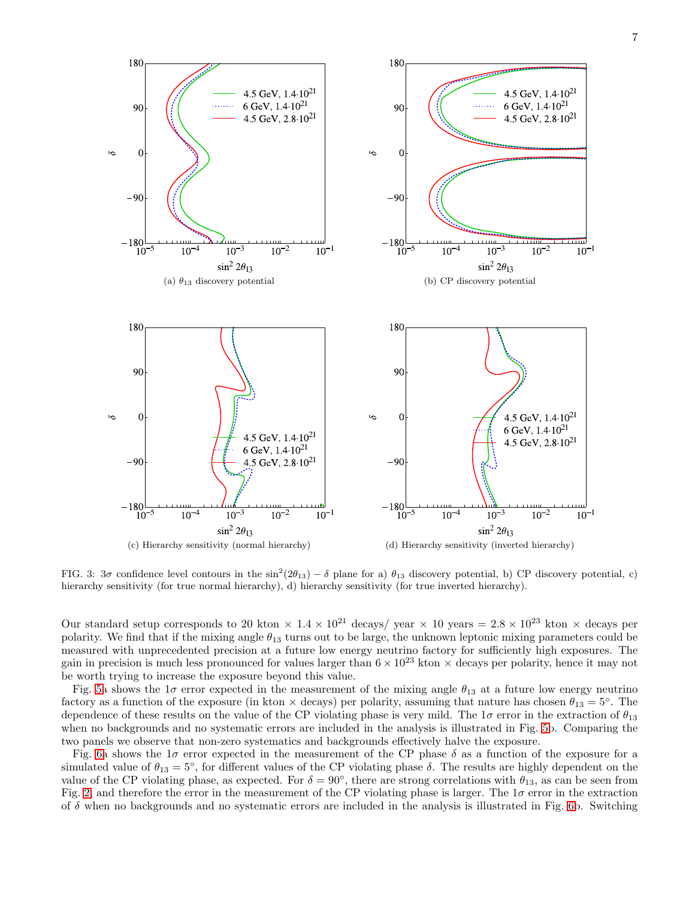

<span id="page-6-0"></span>FIG. 3:  $3\sigma$  confidence level contours in the  $\sin^2(2\theta_{13}) - \delta$  plane for a)  $\theta_{13}$  discovery potential, b) CP discovery potential, c) hierarchy sensitivity (for true normal hierarchy), d) hierarchy sensitivity (for true inverted hierarchy).

Our standard setup corresponds to 20 kton  $\times 1.4 \times 10^{21}$  decays/ year  $\times 10$  years = 2.8  $\times 10^{23}$  kton  $\times$  decays per polarity. We find that if the mixing angle  $\theta_{13}$  turns out to be large, the unknown leptonic mixing parameters could be measured with unprecedented precision at a future low energy neutrino factory for sufficiently high exposures. The gain in precision is much less pronounced for values larger than  $6 \times 10^{23}$  kton  $\times$  decays per polarity, hence it may not be worth trying to increase the exposure beyond this value.

Fig. [5a](#page-7-1) shows the 1 $\sigma$  error expected in the measurement of the mixing angle  $\theta_{13}$  at a future low energy neutrino factory as a function of the exposure (in kton  $\times$  decays) per polarity, assuming that nature has chosen  $\theta_{13} = 5^\circ$ . The dependence of these results on the value of the CP violating phase is very mild. The  $1\sigma$  error in the extraction of  $\theta_{13}$ when no backgrounds and no systematic errors are included in the analysis is illustrated in Fig. [5b](#page-7-1). Comparing the two panels we observe that non-zero systematics and backgrounds effectively halve the exposure.

Fig. [6a](#page-8-1) shows the  $1\sigma$  error expected in the measurement of the CP phase  $\delta$  as a function of the exposure for a simulated value of  $\theta_{13} = 5^{\circ}$ , for different values of the CP violating phase  $\delta$ . The results are highly dependent on the value of the CP violating phase, as expected. For  $\delta = 90^{\circ}$ , there are strong correlations with  $\theta_{13}$ , as can be seen from Fig. [2,](#page-5-0) and therefore the error in the measurement of the CP violating phase is larger. The  $1\sigma$  error in the extraction of  $\delta$  when no backgrounds and no systematic errors are included in the analysis is illustrated in Fig. [6b](#page-8-1). Switching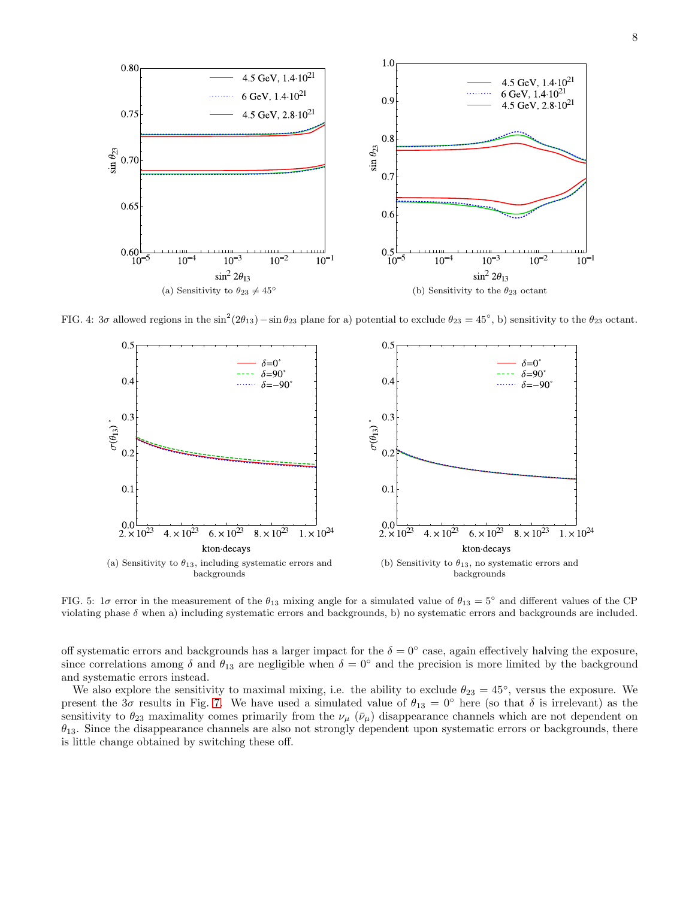

FIG. 4:  $3\sigma$  allowed regions in the  $\sin^2(2\theta_{13}) - \sin \theta_{23}$  plane for a) potential to exclude  $\theta_{23} = 45^\circ$ , b) sensitivity to the  $\theta_{23}$  octant.

<span id="page-7-0"></span>

<span id="page-7-1"></span>FIG. 5:  $1\sigma$  error in the measurement of the  $\theta_{13}$  mixing angle for a simulated value of  $\theta_{13} = 5^{\circ}$  and different values of the CP violating phase  $\delta$  when a) including systematic errors and backgrounds, b) no systematic errors and backgrounds are included.

off systematic errors and backgrounds has a larger impact for the  $\delta = 0^{\circ}$  case, again effectively halving the exposure, since correlations among  $\delta$  and  $\theta_{13}$  are negligible when  $\delta = 0^{\circ}$  and the precision is more limited by the background and systematic errors instead.

We also explore the sensitivity to maximal mixing, i.e. the ability to exclude  $\theta_{23} = 45^{\circ}$ , versus the exposure. We present the 3σ results in Fig. [7.](#page-8-2) We have used a simulated value of  $\theta_{13} = 0^\circ$  here (so that  $\delta$  is irrelevant) as the sensitivity to  $\theta_{23}$  maximality comes primarily from the  $\nu_\mu$  ( $\bar{\nu}_\mu$ ) disappearance channels which are not dependent on  $\theta_{13}$ . Since the disappearance channels are also not strongly dependent upon systematic errors or backgrounds, there is little change obtained by switching these off.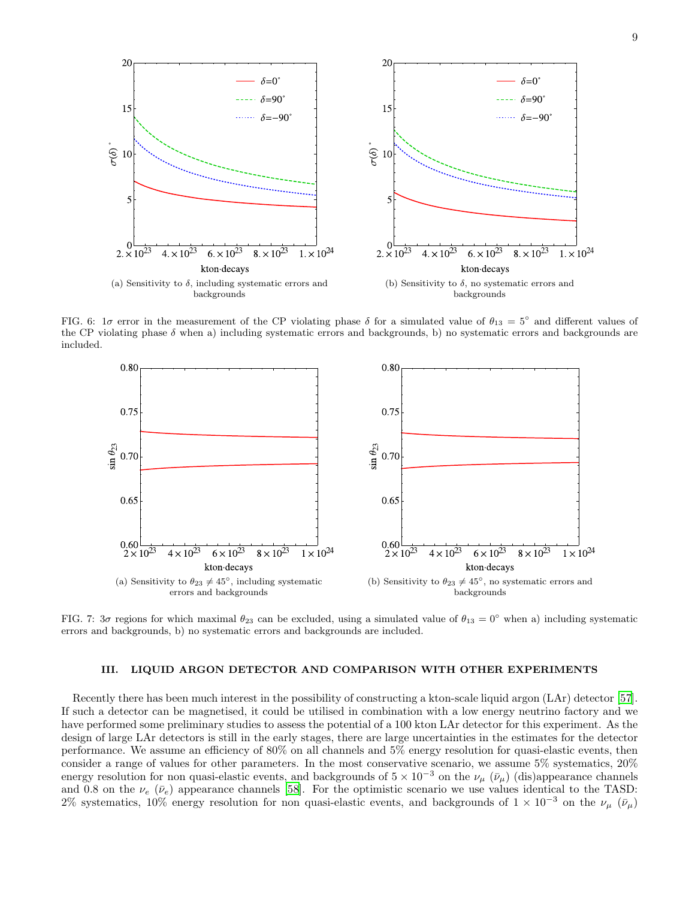

FIG. 6:  $1\sigma$  error in the measurement of the CP violating phase  $\delta$  for a simulated value of  $\theta_{13} = 5^{\circ}$  and different values of the CP violating phase  $\delta$  when a) including systematic errors and backgrounds, b) no systematic errors and backgrounds are included.

<span id="page-8-1"></span>

<span id="page-8-2"></span>FIG. 7:  $3\sigma$  regions for which maximal  $\theta_{23}$  can be excluded, using a simulated value of  $\theta_{13} = 0^\circ$  when a) including systematic errors and backgrounds, b) no systematic errors and backgrounds are included.

#### <span id="page-8-0"></span>III. LIQUID ARGON DETECTOR AND COMPARISON WITH OTHER EXPERIMENTS

Recently there has been much interest in the possibility of constructing a kton-scale liquid argon (LAr) detector [\[57\]](#page-12-5). If such a detector can be magnetised, it could be utilised in combination with a low energy neutrino factory and we have performed some preliminary studies to assess the potential of a 100 kton LAr detector for this experiment. As the design of large LAr detectors is still in the early stages, there are large uncertainties in the estimates for the detector performance. We assume an efficiency of 80% on all channels and 5% energy resolution for quasi-elastic events, then consider a range of values for other parameters. In the most conservative scenario, we assume 5% systematics, 20% energy resolution for non quasi-elastic events, and backgrounds of  $5 \times 10^{-3}$  on the  $\nu_{\mu}$  ( $\bar{\nu}_{\mu}$ ) (dis)appearance channels and 0.8 on the  $\nu_e$  ( $\bar{\nu}_e$ ) appearance channels [\[58\]](#page-12-6). For the optimistic scenario we use values identical to the TASD: 2% systematics, 10% energy resolution for non quasi-elastic events, and backgrounds of  $1 \times 10^{-3}$  on the  $\nu_\mu$  ( $\bar{\nu}_\mu$ )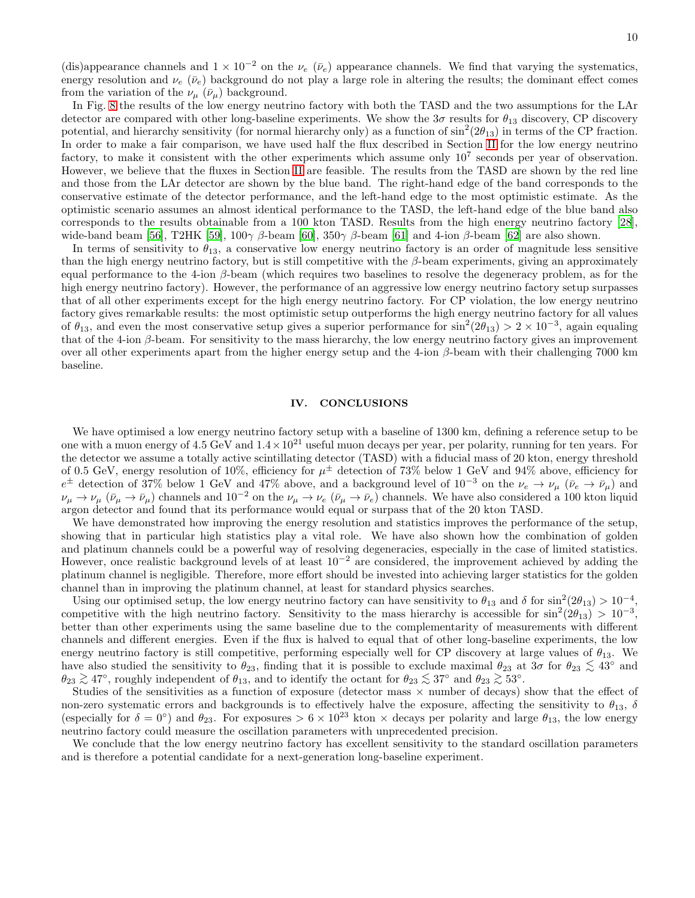(dis)appearance channels and  $1 \times 10^{-2}$  on the  $\nu_e$  ( $\bar{\nu}_e$ ) appearance channels. We find that varying the systematics, energy resolution and  $\nu_e$  ( $\bar{\nu}_e$ ) background do not play a large role in altering the results; the dominant effect comes from the variation of the  $\nu_{\mu}$  ( $\bar{\nu}_{\mu}$ ) background.

In Fig. [8](#page-10-0) the results of the low energy neutrino factory with both the TASD and the two assumptions for the LAr detector are compared with other long-baseline experiments. We show the  $3\sigma$  results for  $\theta_{13}$  discovery, CP discovery potential, and hierarchy sensitivity (for normal hierarchy only) as a function of  $\sin^2(2\theta_{13})$  in terms of the CP fraction. In order to make a fair comparison, we have used half the flux described in Section [II](#page-2-0) for the low energy neutrino factory, to make it consistent with the other experiments which assume only  $10^7$  seconds per year of observation. However, we believe that the fluxes in Section [II](#page-2-0) are feasible. The results from the TASD are shown by the red line and those from the LAr detector are shown by the blue band. The right-hand edge of the band corresponds to the conservative estimate of the detector performance, and the left-hand edge to the most optimistic estimate. As the optimistic scenario assumes an almost identical performance to the TASD, the left-hand edge of the blue band also corresponds to the results obtainable from a 100 kton TASD. Results from the high energy neutrino factory [\[28\]](#page-11-15), wide-band beam [\[56\]](#page-12-4), T2HK [\[59](#page-12-7)],  $100\gamma \beta$ -beam [\[60\]](#page-12-8),  $350\gamma \beta$ -beam [\[61\]](#page-12-9) and 4-ion  $\beta$ -beam [\[62](#page-12-10)] are also shown.

In terms of sensitivity to  $\theta_{13}$ , a conservative low energy neutrino factory is an order of magnitude less sensitive than the high energy neutrino factory, but is still competitive with the  $\beta$ -beam experiments, giving an approximately equal performance to the 4-ion  $\beta$ -beam (which requires two baselines to resolve the degeneracy problem, as for the high energy neutrino factory). However, the performance of an aggressive low energy neutrino factory setup surpasses that of all other experiments except for the high energy neutrino factory. For CP violation, the low energy neutrino factory gives remarkable results: the most optimistic setup outperforms the high energy neutrino factory for all values of  $\theta_{13}$ , and even the most conservative setup gives a superior performance for  $\sin^2(2\theta_{13}) > 2 \times 10^{-3}$ , again equaling that of the 4-ion  $\beta$ -beam. For sensitivity to the mass hierarchy, the low energy neutrino factory gives an improvement over all other experiments apart from the higher energy setup and the 4-ion  $\beta$ -beam with their challenging 7000 km baseline.

#### <span id="page-9-0"></span>IV. CONCLUSIONS

We have optimised a low energy neutrino factory setup with a baseline of 1300 km, defining a reference setup to be one with a muon energy of 4.5 GeV and  $1.4 \times 10^{21}$  useful muon decays per year, per polarity, running for ten years. For the detector we assume a totally active scintillating detector (TASD) with a fiducial mass of 20 kton, energy threshold of 0.5 GeV, energy resolution of 10%, efficiency for  $\mu^{\pm}$  detection of 73% below 1 GeV and 94% above, efficiency for  $e^{\pm}$  detection of 37% below 1 GeV and 47% above, and a background level of  $10^{-3}$  on the  $\nu_e \rightarrow \nu_\mu$  ( $\bar{\nu}_e \rightarrow \bar{\nu}_\mu$ ) and  $\nu_{\mu} \rightarrow \nu_{\mu}$  ( $\bar{\nu}_{\mu} \rightarrow \bar{\nu}_{\mu}$ ) channels and  $10^{-2}$  on the  $\nu_{\mu} \rightarrow \nu_{e}$  ( $\bar{\nu}_{\mu} \rightarrow \bar{\nu}_{e}$ ) channels. We have also considered a 100 kton liquid argon detector and found that its performance would equal or surpass that of the 20 kton TASD.

We have demonstrated how improving the energy resolution and statistics improves the performance of the setup, showing that in particular high statistics play a vital role. We have also shown how the combination of golden and platinum channels could be a powerful way of resolving degeneracies, especially in the case of limited statistics. However, once realistic background levels of at least 10<sup>−</sup><sup>2</sup> are considered, the improvement achieved by adding the platinum channel is negligible. Therefore, more effort should be invested into achieving larger statistics for the golden channel than in improving the platinum channel, at least for standard physics searches.

Using our optimised setup, the low energy neutrino factory can have sensitivity to  $\theta_{13}$  and  $\delta$  for  $\sin^2(2\theta_{13}) > 10^{-4}$ , competitive with the high neutrino factory. Sensitivity to the mass hierarchy is accessible for  $\sin^2(2\theta_{13}) > 10^{-3}$ , better than other experiments using the same baseline due to the complementarity of measurements with different channels and different energies. Even if the flux is halved to equal that of other long-baseline experiments, the low energy neutrino factory is still competitive, performing especially well for CP discovery at large values of  $\theta_{13}$ . We have also studied the sensitivity to  $\theta_{23}$ , finding that it is possible to exclude maximal  $\theta_{23}$  at  $3\sigma$  for  $\theta_{23} \lesssim 43^{\circ}$  and  $\theta_{23} \gtrsim 47^\circ$ , roughly independent of  $\theta_{13}$ , and to identify the octant for  $\theta_{23} \lesssim 37^\circ$  and  $\theta_{23} \gtrsim 53^\circ$ .<br>Studies of the consitiuities as a function of exposure (detector mass  $\vee$  number of decays).

Studies of the sensitivities as a function of exposure (detector mass  $\times$  number of decays) show that the effect of non-zero systematic errors and backgrounds is to effectively halve the exposure, affecting the sensitivity to  $\theta_{13}$ ,  $\delta$ (especially for  $\delta = 0^{\circ}$ ) and  $\theta_{23}$ . For exposures >  $6 \times 10^{23}$  kton × decays per polarity and large  $\theta_{13}$ , the low energy neutrino factory could measure the oscillation parameters with unprecedented precision.

We conclude that the low energy neutrino factory has excellent sensitivity to the standard oscillation parameters and is therefore a potential candidate for a next-generation long-baseline experiment.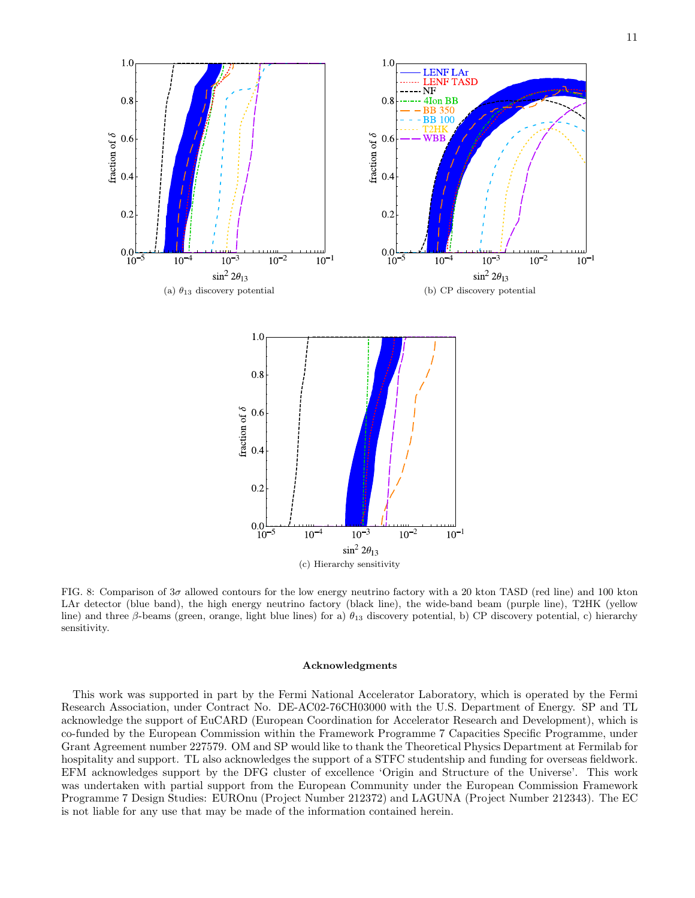

<span id="page-10-0"></span>FIG. 8: Comparison of 3σ allowed contours for the low energy neutrino factory with a 20 kton TASD (red line) and 100 kton LAr detector (blue band), the high energy neutrino factory (black line), the wide-band beam (purple line), T2HK (yellow line) and three β-beams (green, orange, light blue lines) for a)  $\theta_{13}$  discovery potential, b) CP discovery potential, c) hierarchy sensitivity.

### Acknowledgments

This work was supported in part by the Fermi National Accelerator Laboratory, which is operated by the Fermi Research Association, under Contract No. DE-AC02-76CH03000 with the U.S. Department of Energy. SP and TL acknowledge the support of EuCARD (European Coordination for Accelerator Research and Development), which is co-funded by the European Commission within the Framework Programme 7 Capacities Specific Programme, under Grant Agreement number 227579. OM and SP would like to thank the Theoretical Physics Department at Fermilab for hospitality and support. TL also acknowledges the support of a STFC studentship and funding for overseas fieldwork. EFM acknowledges support by the DFG cluster of excellence 'Origin and Structure of the Universe'. This work was undertaken with partial support from the European Community under the European Commission Framework Programme 7 Design Studies: EUROnu (Project Number 212372) and LAGUNA (Project Number 212343). The EC is not liable for any use that may be made of the information contained herein.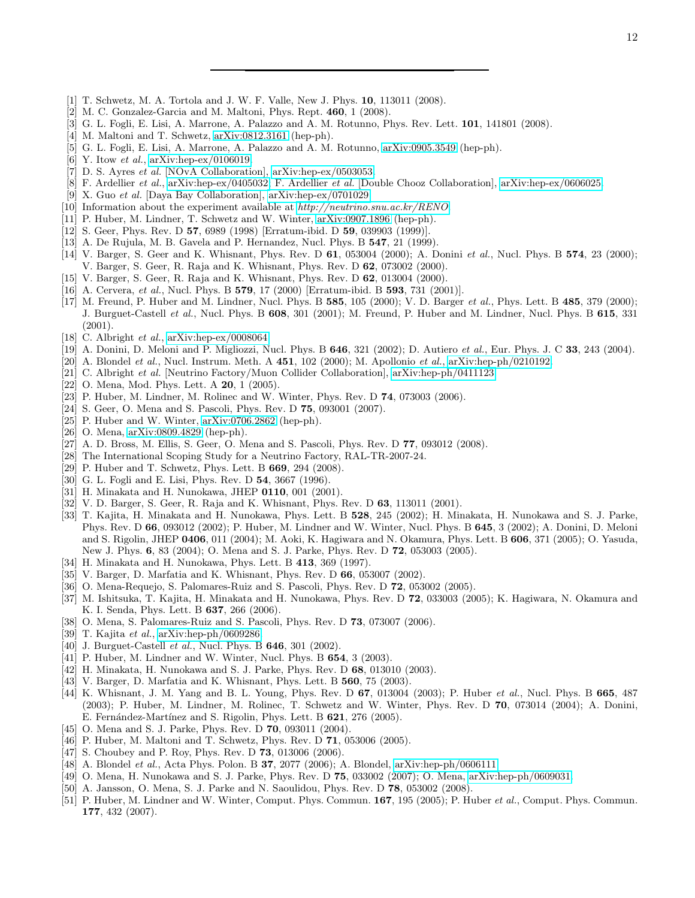- <span id="page-11-0"></span>[1] T. Schwetz, M. A. Tortola and J. W. F. Valle, New J. Phys. 10, 113011 (2008).
- <span id="page-11-1"></span>[2] M. C. Gonzalez-Garcia and M. Maltoni, Phys. Rept. 460, 1 (2008).
- <span id="page-11-2"></span>[3] G. L. Fogli, E. Lisi, A. Marrone, A. Palazzo and A. M. Rotunno, Phys. Rev. Lett. 101, 141801 (2008).
- <span id="page-11-3"></span>[4] M. Maltoni and T. Schwetz, [arXiv:0812.3161](http://arxiv.org/abs/0812.3161) (hep-ph).
- <span id="page-11-4"></span>[5] G. L. Fogli, E. Lisi, A. Marrone, A. Palazzo and A. M. Rotunno, [arXiv:0905.3549](http://arxiv.org/abs/0905.3549) (hep-ph).
- <span id="page-11-5"></span>[6] Y. Itow *et al.*, [arXiv:hep-ex/0106019.](http://arxiv.org/abs/hep-ex/0106019)
- <span id="page-11-6"></span>[7] D. S. Ayres *et al.* [NOvA Collaboration], [arXiv:hep-ex/0503053.](http://arxiv.org/abs/hep-ex/0503053)
- <span id="page-11-7"></span>[8] F. Ardellier *et al.*, [arXiv:hep-ex/0405032;](http://arxiv.org/abs/hep-ex/0405032) F. Ardellier *et al.* [Double Chooz Collaboration], [arXiv:hep-ex/0606025.](http://arxiv.org/abs/hep-ex/0606025)
- [9] X. Guo *et al.* [Daya Bay Collaboration], [arXiv:hep-ex/0701029.](http://arxiv.org/abs/hep-ex/0701029)
- <span id="page-11-8"></span>[10] Information about the experiment available at *<http://neutrino.snu.ac.kr/RENO>*.
- <span id="page-11-9"></span>[11] P. Huber, M. Lindner, T. Schwetz and W. Winter, [arXiv:0907.1896](http://arxiv.org/abs/0907.1896) (hep-ph).
- <span id="page-11-10"></span>[12] S. Geer, Phys. Rev. D 57, 6989 (1998) [Erratum-ibid. D 59, 039903 (1999)].
- <span id="page-11-12"></span>[13] A. De Rujula, M. B. Gavela and P. Hernandez, Nucl. Phys. B 547, 21 (1999).
- [14] V. Barger, S. Geer and K. Whisnant, Phys. Rev. D 61, 053004 (2000); A. Donini *et al.*, Nucl. Phys. B 574, 23 (2000); V. Barger, S. Geer, R. Raja and K. Whisnant, Phys. Rev. D 62, 073002 (2000).
- [15] V. Barger, S. Geer, R. Raja and K. Whisnant, Phys. Rev. D 62, 013004 (2000).
- <span id="page-11-13"></span>[16] A. Cervera, *et al.*, Nucl. Phys. B 579, 17 (2000) [Erratum-ibid. B 593, 731 (2001)].
- [17] M. Freund, P. Huber and M. Lindner, Nucl. Phys. B 585, 105 (2000); V. D. Barger *et al.*, Phys. Lett. B 485, 379 (2000); J. Burguet-Castell *et al.*, Nucl. Phys. B 608, 301 (2001); M. Freund, P. Huber and M. Lindner, Nucl. Phys. B 615, 331 (2001).
- <span id="page-11-14"></span>[18] C. Albright *et al.*, [arXiv:hep-ex/0008064.](http://arxiv.org/abs/hep-ex/0008064)
- <span id="page-11-26"></span>[19] A. Donini, D. Meloni and P. Migliozzi, Nucl. Phys. B 646, 321 (2002); D. Autiero *et al.*, Eur. Phys. J. C 33, 243 (2004).
- [20] A. Blondel *et al.*, Nucl. Instrum. Meth. A 451, 102 (2000); M. Apollonio *et al.*, [arXiv:hep-ph/0210192.](http://arxiv.org/abs/hep-ph/0210192)
- [21] C. Albright *et al.* [Neutrino Factory/Muon Collider Collaboration], [arXiv:hep-ph/0411123.](http://arxiv.org/abs/hep-ph/0411123)
- <span id="page-11-22"></span>[22] O. Mena, Mod. Phys. Lett. A **20**, 1 (2005).
- <span id="page-11-23"></span>[23] P. Huber, M. Lindner, M. Rolinec and W. Winter, Phys. Rev. D 74, 073003 (2006).
- <span id="page-11-16"></span>[24] S. Geer, O. Mena and S. Pascoli, Phys. Rev. D 75, 093001 (2007).
- [25] P. Huber and W. Winter,  $arXiv:0706.2862$  (hep-ph).
- [26] O. Mena, [arXiv:0809.4829](http://arxiv.org/abs/0809.4829) (hep-ph).
- <span id="page-11-11"></span>[27] A. D. Bross, M. Ellis, S. Geer, O. Mena and S. Pascoli, Phys. Rev. D 77, 093012 (2008).
- <span id="page-11-15"></span>[28] The International Scoping Study for a Neutrino Factory, RAL-TR-2007-24.
- <span id="page-11-17"></span>[29] P. Huber and T. Schwetz, Phys. Lett. B 669, 294 (2008).
- <span id="page-11-18"></span>[30] G. L. Fogli and E. Lisi, Phys. Rev. D 54, 3667 (1996).
- [31] H. Minakata and H. Nunokawa, JHEP 0110, 001 (2001).
- [32] V. D. Barger, S. Geer, R. Raja and K. Whisnant, Phys. Rev. D 63, 113011 (2001).
- <span id="page-11-19"></span>[33] T. Kajita, H. Minakata and H. Nunokawa, Phys. Lett. B 528, 245 (2002); H. Minakata, H. Nunokawa and S. J. Parke, Phys. Rev. D 66, 093012 (2002); P. Huber, M. Lindner and W. Winter, Nucl. Phys. B 645, 3 (2002); A. Donini, D. Meloni and S. Rigolin, JHEP 0406, 011 (2004); M. Aoki, K. Hagiwara and N. Okamura, Phys. Lett. B 606, 371 (2005); O. Yasuda, New J. Phys. 6, 83 (2004); O. Mena and S. J. Parke, Phys. Rev. D 72, 053003 (2005).
- <span id="page-11-20"></span>[34] H. Minakata and H. Nunokawa, Phys. Lett. B 413, 369 (1997).
- [35] V. Barger, D. Marfatia and K. Whisnant, Phys. Rev. D 66, 053007 (2002).
- [36] O. Mena-Requejo, S. Palomares-Ruiz and S. Pascoli, Phys. Rev. D 72, 053002 (2005).
- [37] M. Ishitsuka, T. Kajita, H. Minakata and H. Nunokawa, Phys. Rev. D 72, 033003 (2005); K. Hagiwara, N. Okamura and K. I. Senda, Phys. Lett. B 637, 266 (2006).
- [38] O. Mena, S. Palomares-Ruiz and S. Pascoli, Phys. Rev. D 73, 073007 (2006).
- <span id="page-11-21"></span>[39] T. Kajita *et al.*, [arXiv:hep-ph/0609286.](http://arxiv.org/abs/hep-ph/0609286)
- <span id="page-11-24"></span>[40] J. Burguet-Castell *et al.*, Nucl. Phys. B 646, 301 (2002).
- [41] P. Huber, M. Lindner and W. Winter, Nucl. Phys. B **654**, 3 (2003).
- [42] H. Minakata, H. Nunokawa and S. J. Parke, Phys. Rev. D 68, 013010 (2003).
- [43] V. Barger, D. Marfatia and K. Whisnant, Phys. Lett. B 560, 75 (2003).
- [44] K. Whisnant, J. M. Yang and B. L. Young, Phys. Rev. D 67, 013004 (2003); P. Huber *et al.*, Nucl. Phys. B 665, 487 (2003); P. Huber, M. Lindner, M. Rolinec, T. Schwetz and W. Winter, Phys. Rev. D 70, 073014 (2004); A. Donini, E. Fernández-Martínez and S. Rigolin, Phys. Lett. B 621, 276 (2005).
- [45] O. Mena and S. J. Parke, Phys. Rev. D **70**, 093011 (2004).
- [46] P. Huber, M. Maltoni and T. Schwetz, Phys. Rev. D 71, 053006 (2005).
- [47] S. Choubey and P. Roy, Phys. Rev. D **73**, 013006 (2006).
- [48] A. Blondel *et al.*, Acta Phys. Polon. B 37, 2077 (2006); A. Blondel, [arXiv:hep-ph/0606111.](http://arxiv.org/abs/hep-ph/0606111)
- <span id="page-11-25"></span>[49] O. Mena, H. Nunokawa and S. J. Parke, Phys. Rev. D 75, 033002 (2007); O. Mena, [arXiv:hep-ph/0609031.](http://arxiv.org/abs/hep-ph/0609031)
- <span id="page-11-27"></span>[50] A. Jansson, O. Mena, S. J. Parke and N. Saoulidou, Phys. Rev. D 78, 053002 (2008).
- <span id="page-11-28"></span>[51] P. Huber, M. Lindner and W. Winter, Comput. Phys. Commun. 167, 195 (2005); P. Huber *et al.*, Comput. Phys. Commun. 177, 432 (2007).